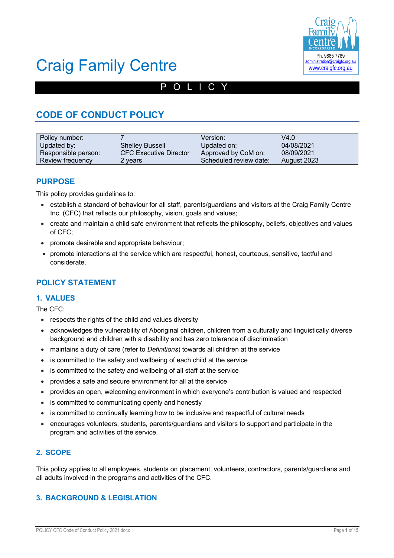

# POLICY

# **CODE OF CONDUCT POLICY**

| Policy number:      |                               | Version:               | V4.0        |
|---------------------|-------------------------------|------------------------|-------------|
| Updated by:         | <b>Shelley Bussell</b>        | Updated on:            | 04/08/2021  |
| Responsible person: | <b>CFC Executive Director</b> | Approved by CoM on:    | 08/09/2021  |
| Review frequency    | 2 years                       | Scheduled review date: | August 2023 |

## **PURPOSE**

This policy provides guidelines to:

- establish a standard of behaviour for all staff, parents/guardians and visitors at the Craig Family Centre Inc. (CFC) that reflects our philosophy, vision, goals and values;
- create and maintain a child safe environment that reflects the philosophy, beliefs, objectives and values of CFC;
- promote desirable and appropriate behaviour;
- promote interactions at the service which are respectful, honest, courteous, sensitive, tactful and considerate.

## **POLICY STATEMENT**

### **1. VALUES**

The CFC:

- respects the rights of the child and values diversity
- acknowledges the vulnerability of Aboriginal children, children from a culturally and linguistically diverse background and children with a disability and has zero tolerance of discrimination
- maintains a duty of care (refer to *Definitions*) towards all children at the service
- is committed to the safety and wellbeing of each child at the service
- is committed to the safety and wellbeing of all staff at the service
- provides a safe and secure environment for all at the service
- provides an open, welcoming environment in which everyone's contribution is valued and respected
- is committed to communicating openly and honestly
- is committed to continually learning how to be inclusive and respectful of cultural needs
- encourages volunteers, students, parents/guardians and visitors to support and participate in the program and activities of the service.

### **2. SCOPE**

This policy applies to all employees, students on placement, volunteers, contractors, parents/guardians and all adults involved in the programs and activities of the CFC.

### **3. BACKGROUND & LEGISLATION**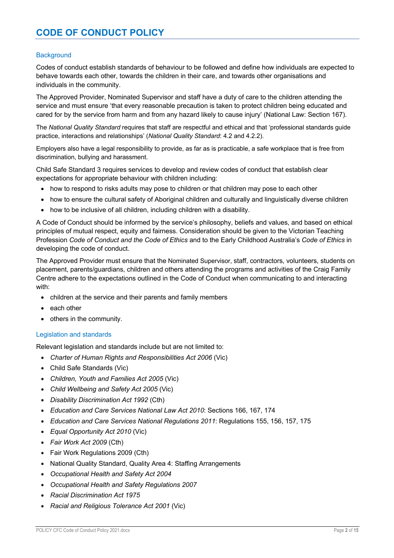#### **Background**

Codes of conduct establish standards of behaviour to be followed and define how individuals are expected to behave towards each other, towards the children in their care, and towards other organisations and individuals in the community.

The Approved Provider, Nominated Supervisor and staff have a duty of care to the children attending the service and must ensure 'that every reasonable precaution is taken to protect children being educated and cared for by the service from harm and from any hazard likely to cause injury' (National Law: Section 167).

The *National Quality Standard* requires that staff are respectful and ethical and that 'professional standards guide practice, interactions and relationships' (*National Quality Standard*: 4.2 and 4.2.2).

Employers also have a legal responsibility to provide, as far as is practicable, a safe workplace that is free from discrimination, bullying and harassment.

Child Safe Standard 3 requires services to develop and review codes of conduct that establish clear expectations for appropriate behaviour with children including:

- how to respond to risks adults may pose to children or that children may pose to each other
- how to ensure the cultural safety of Aboriginal children and culturally and linguistically diverse children
- how to be inclusive of all children, including children with a disability.

A Code of Conduct should be informed by the service's philosophy, beliefs and values, and based on ethical principles of mutual respect, equity and fairness. Consideration should be given to the Victorian Teaching Profession *Code of Conduct and the Code of Ethics* and to the Early Childhood Australia's *Code of Ethics* in developing the code of conduct.

The Approved Provider must ensure that the Nominated Supervisor, staff, contractors, volunteers, students on placement, parents/guardians, children and others attending the programs and activities of the Craig Family Centre adhere to the expectations outlined in the Code of Conduct when communicating to and interacting with:

- children at the service and their parents and family members
- each other
- others in the community.

#### Legislation and standards

Relevant legislation and standards include but are not limited to:

- *Charter of Human Rights and Responsibilities Act 2006* (Vic)
- Child Safe Standards (Vic)
- *Children, Youth and Families Act 2005* (Vic)
- *Child Wellbeing and Safety Act 2005* (Vic)
- *Disability Discrimination Act 1992* (Cth)
- *Education and Care Services National Law Act 2010*: Sections 166, 167, 174
- *Education and Care Services National Regulations 2011*: Regulations 155, 156, 157, 175
- *Equal Opportunity Act 2010* (Vic)
- *Fair Work Act 2009* (Cth)
- Fair Work Regulations 2009 (Cth)
- National Quality Standard, Quality Area 4: Staffing Arrangements
- *Occupational Health and Safety Act 2004*
- *Occupational Health and Safety Regulations 2007*
- *Racial Discrimination Act 1975*
- *Racial and Religious Tolerance Act 2001* (Vic)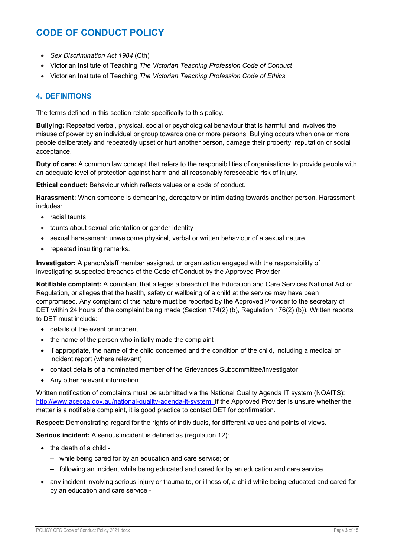- *Sex Discrimination Act 1984* (Cth)
- Victorian Institute of Teaching *The Victorian Teaching Profession Code of Conduct*
- Victorian Institute of Teaching *The Victorian Teaching Profession Code of Ethics*

### **4. DEFINITIONS**

The terms defined in this section relate specifically to this policy.

**Bullying:** Repeated verbal, physical, social or psychological behaviour that is harmful and involves the misuse of power by an individual or group towards one or more persons. Bullying occurs when one or more people deliberately and repeatedly upset or hurt another person, damage their property, reputation or social acceptance.

**Duty of care:** A common law concept that refers to the responsibilities of organisations to provide people with an adequate level of protection against harm and all reasonably foreseeable risk of injury.

**Ethical conduct:** Behaviour which reflects values or a code of conduct.

**Harassment:** When someone is demeaning, derogatory or intimidating towards another person. Harassment includes:

- racial taunts
- taunts about sexual orientation or gender identity
- sexual harassment: unwelcome physical, verbal or written behaviour of a sexual nature
- repeated insulting remarks.

**Investigator:** A person/staff member assigned, or organization engaged with the responsibility of investigating suspected breaches of the Code of Conduct by the Approved Provider.

**Notifiable complaint:** A complaint that alleges a breach of the Education and Care Services National Act or Regulation, or alleges that the health, safety or wellbeing of a child at the service may have been compromised. Any complaint of this nature must be reported by the Approved Provider to the secretary of DET within 24 hours of the complaint being made (Section 174(2) (b), Regulation 176(2) (b)). Written reports to DET must include:

- details of the event or incident
- the name of the person who initially made the complaint
- if appropriate, the name of the child concerned and the condition of the child, including a medical or incident report (where relevant)
- contact details of a nominated member of the Grievances Subcommittee/investigator
- Any other relevant information.

Written notification of complaints must be submitted via the National Quality Agenda IT system (NQAITS): http://www.acecqa.gov.au/national-quality-agenda-it-system. If the Approved Provider is unsure whether the matter is a notifiable complaint, it is good practice to contact DET for confirmation.

**Respect:** Demonstrating regard for the rights of individuals, for different values and points of views.

**Serious incident:** A serious incident is defined as (regulation 12):

- the death of a child
	- while being cared for by an education and care service; or
	- following an incident while being educated and cared for by an education and care service
- any incident involving serious injury or trauma to, or illness of, a child while being educated and cared for by an education and care service -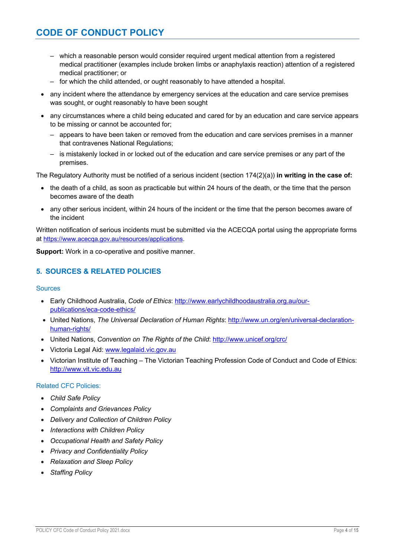- which a reasonable person would consider required urgent medical attention from a registered medical practitioner (examples include broken limbs or anaphylaxis reaction) attention of a registered medical practitioner; or
- for which the child attended, or ought reasonably to have attended a hospital.
- any incident where the attendance by emergency services at the education and care service premises was sought, or ought reasonably to have been sought
- any circumstances where a child being educated and cared for by an education and care service appears to be missing or cannot be accounted for;
	- appears to have been taken or removed from the education and care services premises in a manner that contravenes National Regulations;
	- is mistakenly locked in or locked out of the education and care service premises or any part of the premises.

The Regulatory Authority must be notified of a serious incident (section 174(2)(a)) **in writing in the case of:**

- the death of a child, as soon as practicable but within 24 hours of the death, or the time that the person becomes aware of the death
- any other serious incident, within 24 hours of the incident or the time that the person becomes aware of the incident

Written notification of serious incidents must be submitted via the ACECQA portal using the appropriate forms at https://www.acecqa.gov.au/resources/applications.

**Support:** Work in a co-operative and positive manner.

### **5. SOURCES & RELATED POLICIES**

#### **Sources**

- Early Childhood Australia, *Code of Ethics*: http://www.earlychildhoodaustralia.org.au/ourpublications/eca-code-ethics/
- United Nations, *The Universal Declaration of Human Rights*: http://www.un.org/en/universal-declarationhuman-rights/
- United Nations, *Convention on The Rights of the Child*: http://www.unicef.org/crc/
- Victoria Legal Aid: www.legalaid.vic.gov.au
- Victorian Institute of Teaching The Victorian Teaching Profession Code of Conduct and Code of Ethics: http://www.vit.vic.edu.au

#### Related CFC Policies:

- *Child Safe Policy*
- *Complaints and Grievances Policy*
- *Delivery and Collection of Children Policy*
- *Interactions with Children Policy*
- *Occupational Health and Safety Policy*
- *Privacy and Confidentiality Policy*
- *Relaxation and Sleep Policy*
- *Staffing Policy*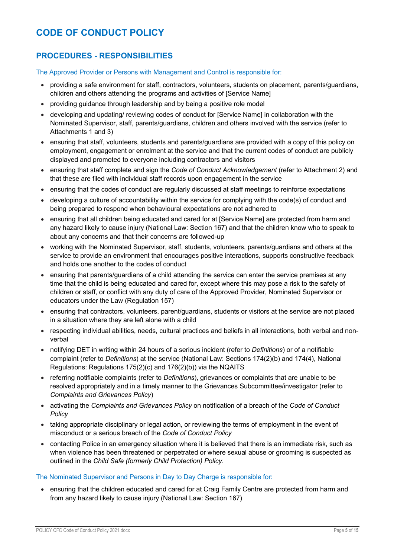## **PROCEDURES - RESPONSIBILITIES**

The Approved Provider or Persons with Management and Control is responsible for:

- providing a safe environment for staff, contractors, volunteers, students on placement, parents/guardians, children and others attending the programs and activities of [Service Name]
- providing quidance through leadership and by being a positive role model
- developing and updating/ reviewing codes of conduct for [Service Name] in collaboration with the Nominated Supervisor, staff, parents/guardians, children and others involved with the service (refer to Attachments 1 and 3)
- ensuring that staff, volunteers, students and parents/guardians are provided with a copy of this policy on employment, engagement or enrolment at the service and that the current codes of conduct are publicly displayed and promoted to everyone including contractors and visitors
- ensuring that staff complete and sign the *Code of Conduct Acknowledgement* (refer to Attachment 2) and that these are filed with individual staff records upon engagement in the service
- ensuring that the codes of conduct are regularly discussed at staff meetings to reinforce expectations
- developing a culture of accountability within the service for complying with the code(s) of conduct and being prepared to respond when behavioural expectations are not adhered to
- ensuring that all children being educated and cared for at [Service Name] are protected from harm and any hazard likely to cause injury (National Law: Section 167) and that the children know who to speak to about any concerns and that their concerns are followed-up
- working with the Nominated Supervisor, staff, students, volunteers, parents/guardians and others at the service to provide an environment that encourages positive interactions, supports constructive feedback and holds one another to the codes of conduct
- ensuring that parents/guardians of a child attending the service can enter the service premises at any time that the child is being educated and cared for, except where this may pose a risk to the safety of children or staff, or conflict with any duty of care of the Approved Provider, Nominated Supervisor or educators under the Law (Regulation 157)
- ensuring that contractors, volunteers, parent/guardians, students or visitors at the service are not placed in a situation where they are left alone with a child
- respecting individual abilities, needs, cultural practices and beliefs in all interactions, both verbal and nonverbal
- notifying DET in writing within 24 hours of a serious incident (refer to *Definitions*) or of a notifiable complaint (refer to *Definitions*) at the service (National Law: Sections 174(2)(b) and 174(4), National Regulations: Regulations 175(2)(c) and 176(2)(b)) via the NQAITS
- referring notifiable complaints (refer to *Definitions*), grievances or complaints that are unable to be resolved appropriately and in a timely manner to the Grievances Subcommittee/investigator (refer to *Complaints and Grievances Policy*)
- activating the *Complaints and Grievances Policy* on notification of a breach of the *Code of Conduct Policy*
- taking appropriate disciplinary or legal action, or reviewing the terms of employment in the event of misconduct or a serious breach of the *Code of Conduct Policy*
- contacting Police in an emergency situation where it is believed that there is an immediate risk, such as when violence has been threatened or perpetrated or where sexual abuse or grooming is suspected as outlined in the *Child Safe (formerly Child Protection) Policy*.

#### The Nominated Supervisor and Persons in Day to Day Charge is responsible for:

• ensuring that the children educated and cared for at Craig Family Centre are protected from harm and from any hazard likely to cause injury (National Law: Section 167)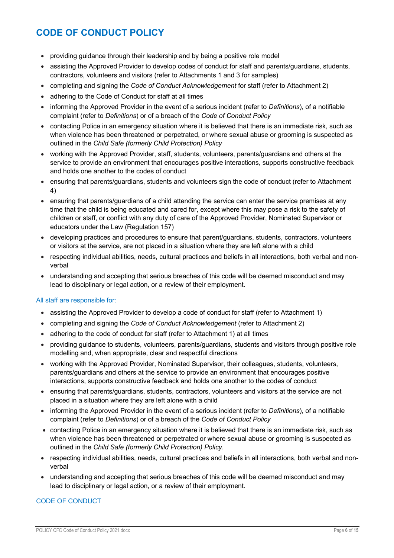- providing quidance through their leadership and by being a positive role model
- assisting the Approved Provider to develop codes of conduct for staff and parents/guardians, students, contractors, volunteers and visitors (refer to Attachments 1 and 3 for samples)
- completing and signing the *Code of Conduct Acknowledgement* for staff (refer to Attachment 2)
- adhering to the Code of Conduct for staff at all times
- informing the Approved Provider in the event of a serious incident (refer to *Definitions*), of a notifiable complaint (refer to *Definitions*) or of a breach of the *Code of Conduct Policy*
- contacting Police in an emergency situation where it is believed that there is an immediate risk, such as when violence has been threatened or perpetrated, or where sexual abuse or grooming is suspected as outlined in the *Child Safe (formerly Child Protection) Policy*
- working with the Approved Provider, staff, students, volunteers, parents/guardians and others at the service to provide an environment that encourages positive interactions, supports constructive feedback and holds one another to the codes of conduct
- ensuring that parents/guardians, students and volunteers sign the code of conduct (refer to Attachment 4)
- ensuring that parents/guardians of a child attending the service can enter the service premises at any time that the child is being educated and cared for, except where this may pose a risk to the safety of children or staff, or conflict with any duty of care of the Approved Provider, Nominated Supervisor or educators under the Law (Regulation 157)
- developing practices and procedures to ensure that parent/guardians, students, contractors, volunteers or visitors at the service, are not placed in a situation where they are left alone with a child
- respecting individual abilities, needs, cultural practices and beliefs in all interactions, both verbal and nonverbal
- understanding and accepting that serious breaches of this code will be deemed misconduct and may lead to disciplinary or legal action, or a review of their employment.

### All staff are responsible for:

- assisting the Approved Provider to develop a code of conduct for staff (refer to Attachment 1)
- completing and signing the *Code of Conduct Acknowledgement* (refer to Attachment 2)
- adhering to the code of conduct for staff (refer to Attachment 1) at all times
- providing guidance to students, volunteers, parents/guardians, students and visitors through positive role modelling and, when appropriate, clear and respectful directions
- working with the Approved Provider, Nominated Supervisor, their colleagues, students, volunteers, parents/guardians and others at the service to provide an environment that encourages positive interactions, supports constructive feedback and holds one another to the codes of conduct
- ensuring that parents/guardians, students, contractors, volunteers and visitors at the service are not placed in a situation where they are left alone with a child
- informing the Approved Provider in the event of a serious incident (refer to *Definitions*), of a notifiable complaint (refer to *Definitions*) or of a breach of the *Code of Conduct Policy*
- contacting Police in an emergency situation where it is believed that there is an immediate risk, such as when violence has been threatened or perpetrated or where sexual abuse or grooming is suspected as outlined in the *Child Safe (formerly Child Protection) Policy*.
- respecting individual abilities, needs, cultural practices and beliefs in all interactions, both verbal and nonverbal
- understanding and accepting that serious breaches of this code will be deemed misconduct and may lead to disciplinary or legal action, or a review of their employment.

### CODE OF CONDUCT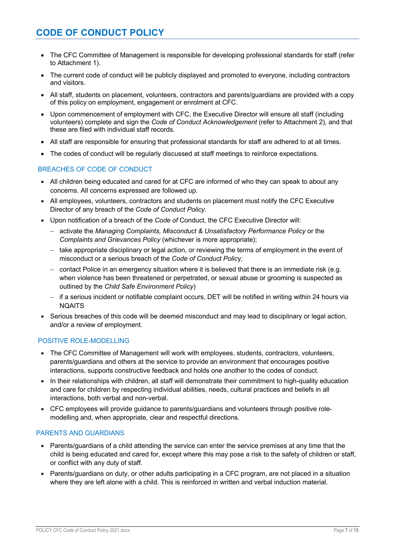- The CFC Committee of Management is responsible for developing professional standards for staff (refer to Attachment 1).
- The current code of conduct will be publicly displayed and promoted to everyone, including contractors and visitors.
- All staff, students on placement, volunteers, contractors and parents/guardians are provided with a copy of this policy on employment, engagement or enrolment at CFC.
- Upon commencement of employment with CFC, the Executive Director will ensure all staff (including volunteers) complete and sign the *Code of Conduct Acknowledgement* (refer to Attachment 2), and that these are filed with individual staff records.
- All staff are responsible for ensuring that professional standards for staff are adhered to at all times.
- The codes of conduct will be regularly discussed at staff meetings to reinforce expectations.

#### BREACHES OF CODE OF CONDUCT

- All children being educated and cared for at CFC are informed of who they can speak to about any concerns. All concerns expressed are followed up.
- All employees, volunteers, contractors and students on placement must notify the CFC Executive Director of any breach of the *Code of Conduct Policy*.
- Upon notification of a breach of the *Code of* Conduct, the CFC Executive Director will:
	- activate the *Managing Complaints, Misconduct & Unsatisfactory Performance Policy* or the *Complaints and Grievances Policy* (whichever is more appropriate);
	- take appropriate disciplinary or legal action, or reviewing the terms of employment in the event of misconduct or a serious breach of the *Code of Conduct Polic*y*;*
	- $-$  contact Police in an emergency situation where it is believed that there is an immediate risk (e.g. when violence has been threatened or perpetrated, or sexual abuse or grooming is suspected as outlined by the *Child Safe Environment Policy*)
	- if a serious incident or notifiable complaint occurs, DET will be notified in writing within 24 hours via NQAITS
- Serious breaches of this code will be deemed misconduct and may lead to disciplinary or legal action, and/or a review of employment.

#### POSITIVE ROLE-MODELLING

- The CFC Committee of Management will work with employees, students, contractors, volunteers, parents/guardians and others at the service to provide an environment that encourages positive interactions, supports constructive feedback and holds one another to the codes of conduct.
- In their relationships with children, all staff will demonstrate their commitment to high-quality education and care for children by respecting individual abilities, needs, cultural practices and beliefs in all interactions, both verbal and non-verbal.
- CFC employees will provide guidance to parents/guardians and volunteers through positive rolemodelling and, when appropriate, clear and respectful directions.

#### PARENTS AND GUARDIANS

- Parents/guardians of a child attending the service can enter the service premises at any time that the child is being educated and cared for, except where this may pose a risk to the safety of children or staff, or conflict with any duty of staff.
- Parents/guardians on duty, or other adults participating in a CFC program, are not placed in a situation where they are left alone with a child. This is reinforced in written and verbal induction material.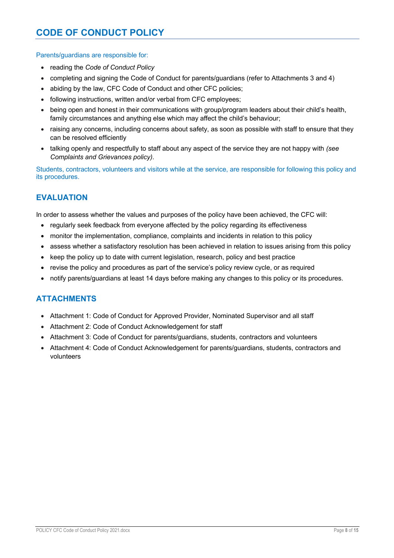Parents/guardians are responsible for:

- reading the *Code of Conduct Policy*
- completing and signing the Code of Conduct for parents/guardians (refer to Attachments 3 and 4)
- abiding by the law, CFC Code of Conduct and other CFC policies;
- following instructions, written and/or verbal from CFC employees;
- being open and honest in their communications with group/program leaders about their child's health, family circumstances and anything else which may affect the child's behaviour;
- raising any concerns, including concerns about safety, as soon as possible with staff to ensure that they can be resolved efficiently
- talking openly and respectfully to staff about any aspect of the service they are not happy with *(see Complaints and Grievances policy)*.

Students, contractors, volunteers and visitors while at the service, are responsible for following this policy and its procedures.

## **EVALUATION**

In order to assess whether the values and purposes of the policy have been achieved, the CFC will:

- regularly seek feedback from everyone affected by the policy regarding its effectiveness
- monitor the implementation, compliance, complaints and incidents in relation to this policy
- assess whether a satisfactory resolution has been achieved in relation to issues arising from this policy
- keep the policy up to date with current legislation, research, policy and best practice
- revise the policy and procedures as part of the service's policy review cycle, or as required
- notify parents/guardians at least 14 days before making any changes to this policy or its procedures.

## **ATTACHMENTS**

- Attachment 1: Code of Conduct for Approved Provider, Nominated Supervisor and all staff
- Attachment 2: Code of Conduct Acknowledgement for staff
- Attachment 3: Code of Conduct for parents/guardians, students, contractors and volunteers
- Attachment 4: Code of Conduct Acknowledgement for parents/guardians, students, contractors and volunteers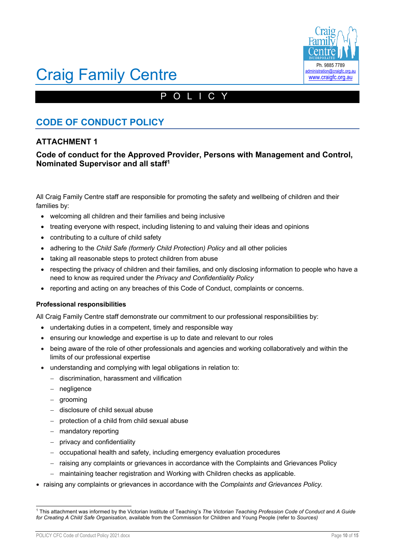

## POLICY

## **CODE OF CONDUCT POLICY**

## **ATTACHMENT 1**

### **Code of conduct for the Approved Provider, Persons with Management and Control, Nominated Supervisor and all staff1**

All Craig Family Centre staff are responsible for promoting the safety and wellbeing of children and their families by:

- welcoming all children and their families and being inclusive
- treating everyone with respect, including listening to and valuing their ideas and opinions
- contributing to a culture of child safety
- adhering to the *Child Safe (formerly Child Protection) Policy* and all other policies
- taking all reasonable steps to protect children from abuse
- respecting the privacy of children and their families, and only disclosing information to people who have a need to know as required under the *Privacy and Confidentiality Policy*
- reporting and acting on any breaches of this Code of Conduct, complaints or concerns.

#### **Professional responsibilities**

All Craig Family Centre staff demonstrate our commitment to our professional responsibilities by:

- undertaking duties in a competent, timely and responsible way
- ensuring our knowledge and expertise is up to date and relevant to our roles
- being aware of the role of other professionals and agencies and working collaboratively and within the limits of our professional expertise
- understanding and complying with legal obligations in relation to:
	- discrimination, harassment and vilification
	- negligence
	- grooming
	- disclosure of child sexual abuse
	- protection of a child from child sexual abuse
	- mandatory reporting
	- privacy and confidentiality
	- occupational health and safety, including emergency evaluation procedures
	- raising any complaints or grievances in accordance with the Complaints and Grievances Policy
	- maintaining teacher registration and Working with Children checks as applicable.
- raising any complaints or grievances in accordance with the *Complaints and Grievances Policy.*

POLICY CFC Code of Conduct Policy 2021.docx Page **10** of **15**

<sup>1</sup> This attachment was informed by the Victorian Institute of Teaching's *The Victorian Teaching Profession Code of Conduct* and *A Guide for Creating A Child Safe Organisation*, available from the Commission for Children and Young People (refer to *Sources)*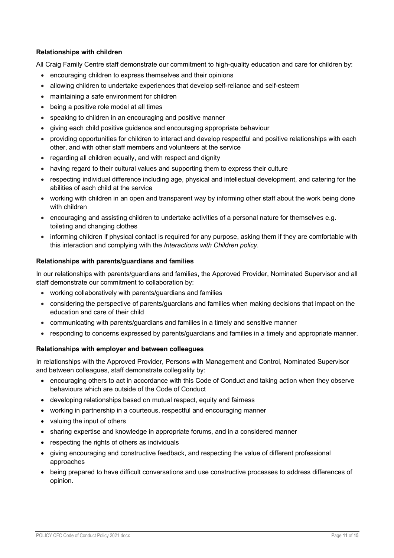#### **Relationships with children**

All Craig Family Centre staff demonstrate our commitment to high-quality education and care for children by:

- encouraging children to express themselves and their opinions
- allowing children to undertake experiences that develop self-reliance and self-esteem
- maintaining a safe environment for children
- being a positive role model at all times
- speaking to children in an encouraging and positive manner
- giving each child positive guidance and encouraging appropriate behaviour
- providing opportunities for children to interact and develop respectful and positive relationships with each other, and with other staff members and volunteers at the service
- regarding all children equally, and with respect and dignity
- having regard to their cultural values and supporting them to express their culture
- respecting individual difference including age, physical and intellectual development, and catering for the abilities of each child at the service
- working with children in an open and transparent way by informing other staff about the work being done with children
- encouraging and assisting children to undertake activities of a personal nature for themselves e.g. toileting and changing clothes
- informing children if physical contact is required for any purpose, asking them if they are comfortable with this interaction and complying with the *Interactions with Children policy*.

#### **Relationships with parents/guardians and families**

In our relationships with parents/guardians and families, the Approved Provider, Nominated Supervisor and all staff demonstrate our commitment to collaboration by:

- working collaboratively with parents/guardians and families
- considering the perspective of parents/guardians and families when making decisions that impact on the education and care of their child
- communicating with parents/guardians and families in a timely and sensitive manner
- responding to concerns expressed by parents/guardians and families in a timely and appropriate manner.

#### **Relationships with employer and between colleagues**

In relationships with the Approved Provider, Persons with Management and Control, Nominated Supervisor and between colleagues, staff demonstrate collegiality by:

- encouraging others to act in accordance with this Code of Conduct and taking action when they observe behaviours which are outside of the Code of Conduct
- developing relationships based on mutual respect, equity and fairness
- working in partnership in a courteous, respectful and encouraging manner
- valuing the input of others
- sharing expertise and knowledge in appropriate forums, and in a considered manner
- respecting the rights of others as individuals
- giving encouraging and constructive feedback, and respecting the value of different professional approaches
- being prepared to have difficult conversations and use constructive processes to address differences of opinion.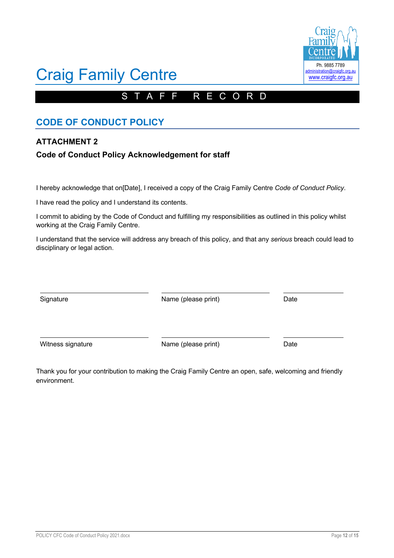## A F F R E C O R D

# **CODE OF CONDUCT POLICY**

## **ATTACHMENT 2**

## **Code of Conduct Policy Acknowledgement for staff**

I hereby acknowledge that on[Date], I received a copy of the Craig Family Centre *Code of Conduct Policy*.

I have read the policy and I understand its contents.

I commit to abiding by the Code of Conduct and fulfilling my responsibilities as outlined in this policy whilst working at the Craig Family Centre.

I understand that the service will address any breach of this policy, and that any *serious* breach could lead to disciplinary or legal action.

Signature **Name (please print)** Date Date

Witness signature **Name** (please print) Date

Thank you for your contribution to making the Craig Family Centre an open, safe, welcoming and friendly environment.

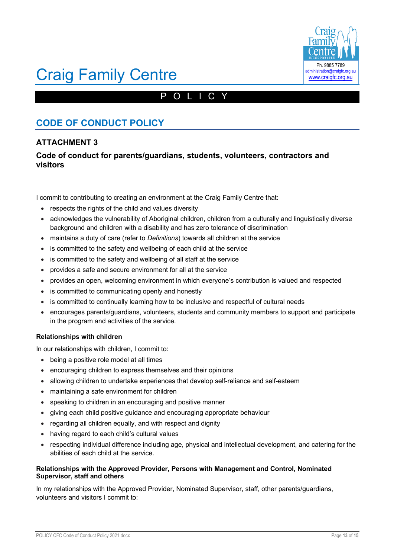

## POLICY

## **CODE OF CONDUCT POLICY**

## **ATTACHMENT 3**

## **Code of conduct for parents/guardians, students, volunteers, contractors and visitors**

I commit to contributing to creating an environment at the Craig Family Centre that:

- respects the rights of the child and values diversity
- acknowledges the vulnerability of Aboriginal children, children from a culturally and linguistically diverse background and children with a disability and has zero tolerance of discrimination
- maintains a duty of care (refer to *Definitions*) towards all children at the service
- is committed to the safety and wellbeing of each child at the service
- is committed to the safety and wellbeing of all staff at the service
- provides a safe and secure environment for all at the service
- provides an open, welcoming environment in which everyone's contribution is valued and respected
- is committed to communicating openly and honestly
- is committed to continually learning how to be inclusive and respectful of cultural needs
- encourages parents/guardians, volunteers, students and community members to support and participate in the program and activities of the service.

#### **Relationships with children**

In our relationships with children, I commit to:

- being a positive role model at all times
- encouraging children to express themselves and their opinions
- allowing children to undertake experiences that develop self-reliance and self-esteem
- maintaining a safe environment for children
- speaking to children in an encouraging and positive manner
- giving each child positive guidance and encouraging appropriate behaviour
- regarding all children equally, and with respect and dignity
- having regard to each child's cultural values
- respecting individual difference including age, physical and intellectual development, and catering for the abilities of each child at the service.

#### **Relationships with the Approved Provider, Persons with Management and Control, Nominated Supervisor, staff and others**

In my relationships with the Approved Provider, Nominated Supervisor, staff, other parents/guardians, volunteers and visitors I commit to: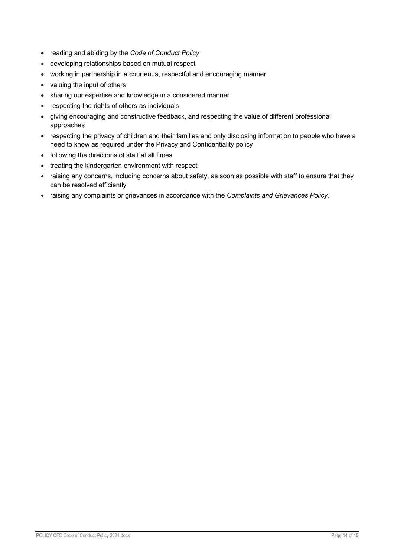- reading and abiding by the *Code of Conduct Policy*
- developing relationships based on mutual respect
- working in partnership in a courteous, respectful and encouraging manner
- valuing the input of others
- sharing our expertise and knowledge in a considered manner
- respecting the rights of others as individuals
- giving encouraging and constructive feedback, and respecting the value of different professional approaches
- respecting the privacy of children and their families and only disclosing information to people who have a need to know as required under the Privacy and Confidentiality policy
- following the directions of staff at all times
- treating the kindergarten environment with respect
- raising any concerns, including concerns about safety, as soon as possible with staff to ensure that they can be resolved efficiently
- raising any complaints or grievances in accordance with the *Complaints and Grievances Policy.*